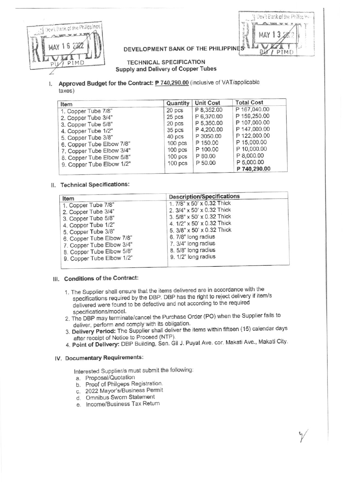

DEVELOPMENT BANK OF THE PHILIPPINES



# **TECHNICAL SPECIFICATION** Supply and Delivery of Copper Tubes

Approved Budget for the Contract: P 740,290.00 (inclusive of VAT/applicable L taxes)

| Item                      | Quantity           | <b>Unit Cost</b> | <b>Total Cost</b> |
|---------------------------|--------------------|------------------|-------------------|
| 1. Copper Tube 7/8"       | 20 pcs             | P 8,352.00       | P 167,040.00      |
| 2. Copper Tube 3/4"       | 25 pcs             | P 6,370.00       | P 159,250.00      |
| 3. Copper Tube 5/8"       | 20 pcs             | P 5,350.00       | P 107,000.00      |
| 4. Copper Tube 1/2"       | 35 pcs             | P 4,200.00       | P 147,000.00      |
| 5. Copper Tube 3/8"       | 40 pcs             | P 3050.00        | P 122,000.00      |
| 6. Copper Tube Elbow 7/8" | $100$ pcs          | P 150.00         | P 15,000.00       |
| 7. Copper Tube Elbow 3/4" | $100$ pcs          | P 100.00         | P 10,000.00       |
| 8. Copper Tube Elbow 5/8" | $100$ pcs          | P 80.00          | P 8,000.00        |
| 9. Copper Tube Elbow 1/2" | 100 <sub>pos</sub> | P 50.00          | P 5,000.00        |
|                           |                    |                  | P 740,290.00      |

# II. Technical Specifications:

| Item                                                                                                                                                                                                                                | <b>Description/Specifications</b>                                                                                                                                                                                                            |  |  |
|-------------------------------------------------------------------------------------------------------------------------------------------------------------------------------------------------------------------------------------|----------------------------------------------------------------------------------------------------------------------------------------------------------------------------------------------------------------------------------------------|--|--|
| 1. Copper Tube 7/8"<br>2. Copper Tube 3/4"<br>3. Copper Tube 5/8"<br>4. Copper Tube 1/2"<br>5. Copper Tube 3/8"<br>6. Copper Tube Elbow 7/8"<br>7. Copper Tube Elbow 3/4"<br>8. Copper Tube Elbow 5/8"<br>9. Copper Tube Elbow 1/2" | 1.7/8" x 50' x 0.32 Thick<br>2. 3/4" x 50' x 0.32 Thick<br>3. 5/8" x 50' x 0.32 Thick<br>4. 1/2" x 50' x 0.32 Thick<br>5. 3/8" x 50' x 0.32 Thick<br>6.7/8" long radius<br>7. 3/4" long radius<br>8. 5/8" long radius<br>9. 1/2" long radius |  |  |

### III. Conditions of the Contract:

- 1. The Supplier shall ensure that the items delivered are in accordance with the specifications required by the DBP. DBP has the right to reject delivery if item/s delivered were found to be defective and not according to the required specifications/model.
- 2. The DBP may terminate/cancel the Purchase Order (PO) when the Supplier fails to deliver, perform and comply with its obligation.
- 3. Delivery Period: The Supplier shall deliver the items within fifteen (15) calendar days after receipt of Notice to Proceed (NTP).
- 4. Point of Delivery: DBP Building, Sen. Gil J. Puyat Ave. cor. Makati Ave., Makati City.

## IV. Documentary Requirements:

Interested Supplier/s must submit the following:

- a. Proposal/Quotation
- b. Proof of Philgeps Registration.<br>c. 2022 Mayor's/Business Permit<br>d. Omnibus Sworn Statement
- 
- 
- e. Income/Business Tax Return